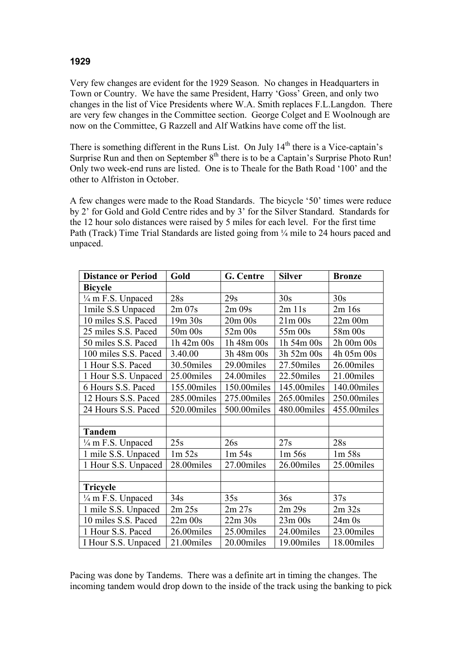## **1929**

Very few changes are evident for the 1929 Season. No changes in Headquarters in Town or Country. We have the same President, Harry 'Goss' Green, and only two changes in the list of Vice Presidents where W.A. Smith replaces F.L.Langdon. There are very few changes in the Committee section. George Colget and E Woolnough are now on the Committee, G Razzell and Alf Watkins have come off the list.

There is something different in the Runs List. On July  $14<sup>th</sup>$  there is a Vice-captain's Surprise Run and then on September  $8<sup>th</sup>$  there is to be a Captain's Surprise Photo Run! Only two week-end runs are listed. One is to Theale for the Bath Road '100' and the other to Alfriston in October.

A few changes were made to the Road Standards. The bicycle '50' times were reduce by 2' for Gold and Gold Centre rides and by 3' for the Silver Standard. Standards for the 12 hour solo distances were raised by 5 miles for each level. For the first time Path (Track) Time Trial Standards are listed going from ¼ mile to 24 hours paced and unpaced.

| <b>Distance or Period</b>    | Gold        | G. Centre   | <b>Silver</b> | <b>Bronze</b> |
|------------------------------|-------------|-------------|---------------|---------------|
| <b>Bicycle</b>               |             |             |               |               |
| $\frac{1}{4}$ m F.S. Unpaced | 28s         | 29s         | 30s           | 30s           |
| 1 mile S.S Unpaced           | 2m07s       | 2m09s       | $2m$ 11s      | 2m 16s        |
| 10 miles S.S. Paced          | 19m 30s     | $20m$ $00s$ | $21m$ 00s     | $22m$ 00 $m$  |
| 25 miles S.S. Paced          | 50m 00s     | 52m 00s     | 55m 00s       | 58m 00s       |
| 50 miles S.S. Paced          | 1h 42m 00s  | 1h 48m 00s  | 1h 54m 00s    | 2h 00m 00s    |
| 100 miles S.S. Paced         | 3.40.00     | 3h 48m 00s  | 3h 52m 00s    | 4h 05m 00s    |
| 1 Hour S.S. Paced            | 30.50miles  | 29.00miles  | 27.50miles    | 26.00miles    |
| 1 Hour S.S. Unpaced          | 25.00miles  | 24.00miles  | 22.50miles    | 21.00miles    |
| 6 Hours S.S. Paced           | 155.00miles | 150.00miles | 145.00miles   | 140.00miles   |
| 12 Hours S.S. Paced          | 285.00miles | 275.00miles | 265.00miles   | 250.00miles   |
| 24 Hours S.S. Paced          | 520.00miles | 500.00miles | 480.00miles   | 455.00miles   |
|                              |             |             |               |               |
| <b>Tandem</b>                |             |             |               |               |
| 1/4 m F.S. Unpaced           | 25s         | 26s         | 27s           | 28s           |
| 1 mile S.S. Unpaced          | 1m 52s      | $1m\,54s$   | $1m\,56s$     | 1m 58s        |
| 1 Hour S.S. Unpaced          | 28.00miles  | 27.00miles  | 26.00miles    | 25.00miles    |
|                              |             |             |               |               |
| Tricycle                     |             |             |               |               |
| $\frac{1}{4}$ m F.S. Unpaced | 34s         | 35s         | 36s           | 37s           |
| 1 mile S.S. Unpaced          | 2m 25s      | 2m 27s      | 2m 29s        | $2m$ 32s      |
| 10 miles S.S. Paced          | $22m$ 00s   | 22m 30s     | $23m$ 00s     | $24m$ 0s      |
| 1 Hour S.S. Paced            | 26.00miles  | 25.00miles  | 24.00miles    | 23.00miles    |
| I Hour S.S. Unpaced          | 21.00miles  | 20.00miles  | 19.00miles    | 18.00miles    |

Pacing was done by Tandems. There was a definite art in timing the changes. The incoming tandem would drop down to the inside of the track using the banking to pick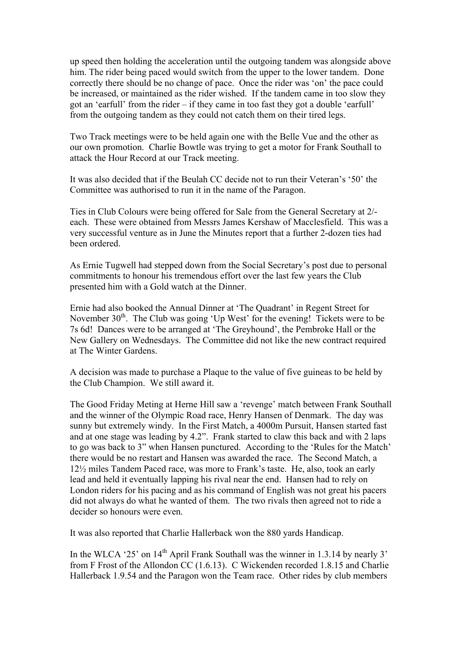up speed then holding the acceleration until the outgoing tandem was alongside above him. The rider being paced would switch from the upper to the lower tandem. Done correctly there should be no change of pace. Once the rider was 'on' the pace could be increased, or maintained as the rider wished. If the tandem came in too slow they got an 'earfull' from the rider – if they came in too fast they got a double 'earfull' from the outgoing tandem as they could not catch them on their tired legs.

Two Track meetings were to be held again one with the Belle Vue and the other as our own promotion. Charlie Bowtle was trying to get a motor for Frank Southall to attack the Hour Record at our Track meeting.

It was also decided that if the Beulah CC decide not to run their Veteran's '50' the Committee was authorised to run it in the name of the Paragon.

Ties in Club Colours were being offered for Sale from the General Secretary at 2/ each. These were obtained from Messrs James Kershaw of Macclesfield. This was a very successful venture as in June the Minutes report that a further 2-dozen ties had been ordered.

As Ernie Tugwell had stepped down from the Social Secretary's post due to personal commitments to honour his tremendous effort over the last few years the Club presented him with a Gold watch at the Dinner.

Ernie had also booked the Annual Dinner at 'The Quadrant' in Regent Street for November  $30<sup>th</sup>$ . The Club was going 'Up West' for the evening! Tickets were to be 7s 6d! Dances were to be arranged at 'The Greyhound', the Pembroke Hall or the New Gallery on Wednesdays. The Committee did not like the new contract required at The Winter Gardens.

A decision was made to purchase a Plaque to the value of five guineas to be held by the Club Champion. We still award it.

The Good Friday Meting at Herne Hill saw a 'revenge' match between Frank Southall and the winner of the Olympic Road race, Henry Hansen of Denmark. The day was sunny but extremely windy. In the First Match, a 4000m Pursuit, Hansen started fast and at one stage was leading by 4.2". Frank started to claw this back and with 2 laps to go was back to 3" when Hansen punctured. According to the 'Rules for the Match' there would be no restart and Hansen was awarded the race. The Second Match, a 12½ miles Tandem Paced race, was more to Frank's taste. He, also, took an early lead and held it eventually lapping his rival near the end. Hansen had to rely on London riders for his pacing and as his command of English was not great his pacers did not always do what he wanted of them. The two rivals then agreed not to ride a decider so honours were even.

It was also reported that Charlie Hallerback won the 880 yards Handicap.

In the WLCA '25' on  $14<sup>th</sup>$  April Frank Southall was the winner in 1.3.14 by nearly 3' from F Frost of the Allondon CC (1.6.13). C Wickenden recorded 1.8.15 and Charlie Hallerback 1.9.54 and the Paragon won the Team race. Other rides by club members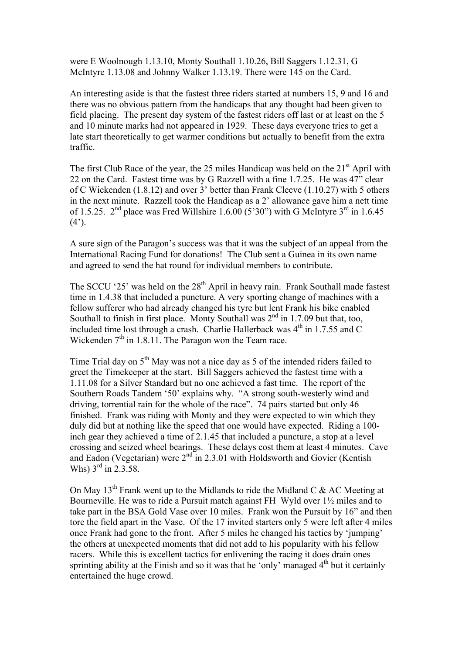were E Woolnough 1.13.10, Monty Southall 1.10.26, Bill Saggers 1.12.31, G McIntyre 1.13.08 and Johnny Walker 1.13.19. There were 145 on the Card.

An interesting aside is that the fastest three riders started at numbers 15, 9 and 16 and there was no obvious pattern from the handicaps that any thought had been given to field placing. The present day system of the fastest riders off last or at least on the 5 and 10 minute marks had not appeared in 1929. These days everyone tries to get a late start theoretically to get warmer conditions but actually to benefit from the extra traffic.

The first Club Race of the year, the 25 miles Handicap was held on the  $21<sup>st</sup>$  April with 22 on the Card. Fastest time was by G Razzell with a fine 1.7.25. He was 47" clear of C Wickenden (1.8.12) and over 3' better than Frank Cleeve (1.10.27) with 5 others in the next minute. Razzell took the Handicap as a 2' allowance gave him a nett time of 1.5.25.  $2<sup>nd</sup>$  place was Fred Willshire 1.6.00 (5'30") with G McIntyre  $3<sup>rd</sup>$  in 1.6.45  $(4^{\prime})$ .

A sure sign of the Paragon's success was that it was the subject of an appeal from the International Racing Fund for donations! The Club sent a Guinea in its own name and agreed to send the hat round for individual members to contribute.

The SCCU '25' was held on the  $28<sup>th</sup>$  April in heavy rain. Frank Southall made fastest time in 1.4.38 that included a puncture. A very sporting change of machines with a fellow sufferer who had already changed his tyre but lent Frank his bike enabled Southall to finish in first place. Monty Southall was  $2<sup>nd</sup>$  in 1.7.09 but that, too, included time lost through a crash. Charlie Hallerback was  $4<sup>th</sup>$  in 1.7.55 and C Wickenden  $7<sup>th</sup>$  in 1.8.11. The Paragon won the Team race.

Time Trial day on  $5<sup>th</sup>$  May was not a nice day as 5 of the intended riders failed to greet the Timekeeper at the start. Bill Saggers achieved the fastest time with a 1.11.08 for a Silver Standard but no one achieved a fast time. The report of the Southern Roads Tandem '50' explains why. "A strong south-westerly wind and driving, torrential rain for the whole of the race". 74 pairs started but only 46 finished. Frank was riding with Monty and they were expected to win which they duly did but at nothing like the speed that one would have expected. Riding a 100 inch gear they achieved a time of 2.1.45 that included a puncture, a stop at a level crossing and seized wheel bearings. These delays cost them at least 4 minutes. Cave and Eadon (Vegetarian) were  $2<sup>nd</sup>$  in 2.3.01 with Holdsworth and Govier (Kentish Whs)  $3^{\text{rd}}$  in 2.3.58.

On May 13<sup>th</sup> Frank went up to the Midlands to ride the Midland C & AC Meeting at Bourneville. He was to ride a Pursuit match against FH Wyld over 1½ miles and to take part in the BSA Gold Vase over 10 miles. Frank won the Pursuit by 16" and then tore the field apart in the Vase. Of the 17 invited starters only 5 were left after 4 miles once Frank had gone to the front. After 5 miles he changed his tactics by 'jumping' the others at unexpected moments that did not add to his popularity with his fellow racers. While this is excellent tactics for enlivening the racing it does drain ones sprinting ability at the Finish and so it was that he 'only' managed  $4<sup>th</sup>$  but it certainly entertained the huge crowd.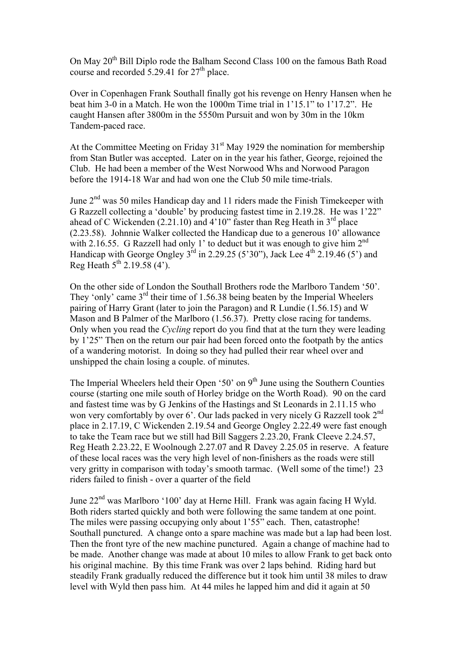On May 20th Bill Diplo rode the Balham Second Class 100 on the famous Bath Road course and recorded  $5.29.41$  for  $27<sup>th</sup>$  place.

Over in Copenhagen Frank Southall finally got his revenge on Henry Hansen when he beat him 3-0 in a Match. He won the 1000m Time trial in 1'15.1" to 1'17.2". He caught Hansen after 3800m in the 5550m Pursuit and won by 30m in the 10km Tandem-paced race.

At the Committee Meeting on Friday  $31<sup>st</sup>$  May 1929 the nomination for membership from Stan Butler was accepted. Later on in the year his father, George, rejoined the Club. He had been a member of the West Norwood Whs and Norwood Paragon before the 1914-18 War and had won one the Club 50 mile time-trials.

June 2<sup>nd</sup> was 50 miles Handicap day and 11 riders made the Finish Timekeeper with G Razzell collecting a 'double' by producing fastest time in 2.19.28. He was 1'22" ahead of C Wickenden (2.21.10) and  $4'10''$  faster than Reg Heath in  $3<sup>rd</sup>$  place (2.23.58). Johnnie Walker collected the Handicap due to a generous 10' allowance with 2.16.55. G Razzell had only 1' to deduct but it was enough to give him  $2<sup>nd</sup>$ Handicap with George Ongley  $3^{rd}$  in 2.29.25 (5'30"), Jack Lee  $4^{th}$  2.19.46 (5") and Reg Heath  $5^{th}$  2.19.58 (4').

On the other side of London the Southall Brothers rode the Marlboro Tandem '50'. They 'only' came 3<sup>rd</sup> their time of 1.56.38 being beaten by the Imperial Wheelers pairing of Harry Grant (later to join the Paragon) and R Lundie (1.56.15) and W Mason and B Palmer of the Marlboro (1.56.37). Pretty close racing for tandems. Only when you read the *Cycling* report do you find that at the turn they were leading by 1'25" Then on the return our pair had been forced onto the footpath by the antics of a wandering motorist. In doing so they had pulled their rear wheel over and unshipped the chain losing a couple. of minutes.

The Imperial Wheelers held their Open '50' on  $9<sup>th</sup>$  June using the Southern Counties course (starting one mile south of Horley bridge on the Worth Road). 90 on the card and fastest time was by G Jenkins of the Hastings and St Leonards in 2.11.15 who won very comfortably by over 6'. Our lads packed in very nicely G Razzell took 2<sup>nd</sup> place in 2.17.19, C Wickenden 2.19.54 and George Ongley 2.22.49 were fast enough to take the Team race but we still had Bill Saggers 2.23.20, Frank Cleeve 2.24.57, Reg Heath 2.23.22, E Woolnough 2.27.07 and R Davey 2.25.05 in reserve. A feature of these local races was the very high level of non-finishers as the roads were still very gritty in comparison with today's smooth tarmac. (Well some of the time!) 23 riders failed to finish - over a quarter of the field

June 22nd was Marlboro '100' day at Herne Hill. Frank was again facing H Wyld. Both riders started quickly and both were following the same tandem at one point. The miles were passing occupying only about 1'55" each. Then, catastrophe! Southall punctured. A change onto a spare machine was made but a lap had been lost. Then the front tyre of the new machine punctured. Again a change of machine had to be made. Another change was made at about 10 miles to allow Frank to get back onto his original machine. By this time Frank was over 2 laps behind. Riding hard but steadily Frank gradually reduced the difference but it took him until 38 miles to draw level with Wyld then pass him. At 44 miles he lapped him and did it again at 50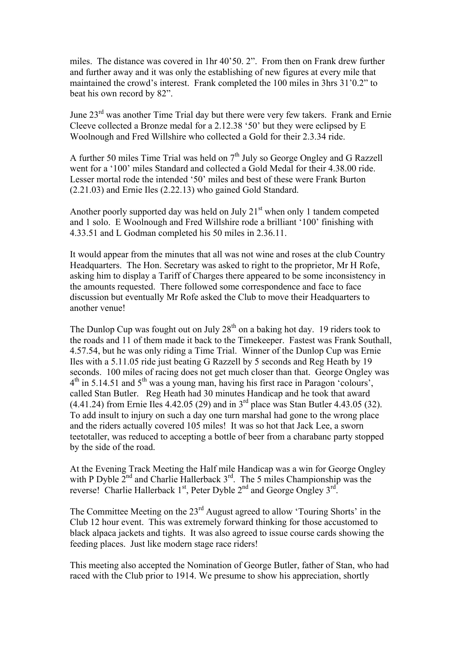miles. The distance was covered in 1hr 40'50. 2". From then on Frank drew further and further away and it was only the establishing of new figures at every mile that maintained the crowd's interest. Frank completed the 100 miles in 3hrs 31'0.2" to beat his own record by 82".

June  $23<sup>rd</sup>$  was another Time Trial day but there were very few takers. Frank and Ernie Cleeve collected a Bronze medal for a 2.12.38 '50' but they were eclipsed by E Woolnough and Fred Willshire who collected a Gold for their 2.3.34 ride.

A further 50 miles Time Trial was held on  $7<sup>th</sup>$  July so George Ongley and G Razzell went for a '100' miles Standard and collected a Gold Medal for their 4.38.00 ride. Lesser mortal rode the intended '50' miles and best of these were Frank Burton (2.21.03) and Ernie Iles (2.22.13) who gained Gold Standard.

Another poorly supported day was held on July  $21<sup>st</sup>$  when only 1 tandem competed and 1 solo. E Woolnough and Fred Willshire rode a brilliant '100' finishing with 4.33.51 and L Godman completed his 50 miles in 2.36.11.

It would appear from the minutes that all was not wine and roses at the club Country Headquarters. The Hon. Secretary was asked to right to the proprietor, Mr H Rofe, asking him to display a Tariff of Charges there appeared to be some inconsistency in the amounts requested. There followed some correspondence and face to face discussion but eventually Mr Rofe asked the Club to move their Headquarters to another venue!

The Dunlop Cup was fought out on July  $28<sup>th</sup>$  on a baking hot day. 19 riders took to the roads and 11 of them made it back to the Timekeeper. Fastest was Frank Southall, 4.57.54, but he was only riding a Time Trial. Winner of the Dunlop Cup was Ernie Iles with a 5.11.05 ride just beating G Razzell by 5 seconds and Reg Heath by 19 seconds. 100 miles of racing does not get much closer than that. George Ongley was 4<sup>th</sup> in 5.14.51 and 5<sup>th</sup> was a young man, having his first race in Paragon 'colours', called Stan Butler. Reg Heath had 30 minutes Handicap and he took that award  $(4.41.24)$  from Ernie Iles  $4.42.05(29)$  and in 3<sup>rd</sup> place was Stan Butler  $4.43.05(32)$ . To add insult to injury on such a day one turn marshal had gone to the wrong place and the riders actually covered 105 miles! It was so hot that Jack Lee, a sworn teetotaller, was reduced to accepting a bottle of beer from a charabanc party stopped by the side of the road.

At the Evening Track Meeting the Half mile Handicap was a win for George Ongley with P Dyble  $2^{nd}$  and Charlie Hallerback  $3^{rd}$ . The 5 miles Championship was the reverse! Charlie Hallerback  $1<sup>st</sup>$ , Peter Dyble  $2<sup>nd</sup>$  and George Ongley  $3<sup>rd</sup>$ .

The Committee Meeting on the 23<sup>rd</sup> August agreed to allow 'Touring Shorts' in the Club 12 hour event. This was extremely forward thinking for those accustomed to black alpaca jackets and tights. It was also agreed to issue course cards showing the feeding places. Just like modern stage race riders!

This meeting also accepted the Nomination of George Butler, father of Stan, who had raced with the Club prior to 1914. We presume to show his appreciation, shortly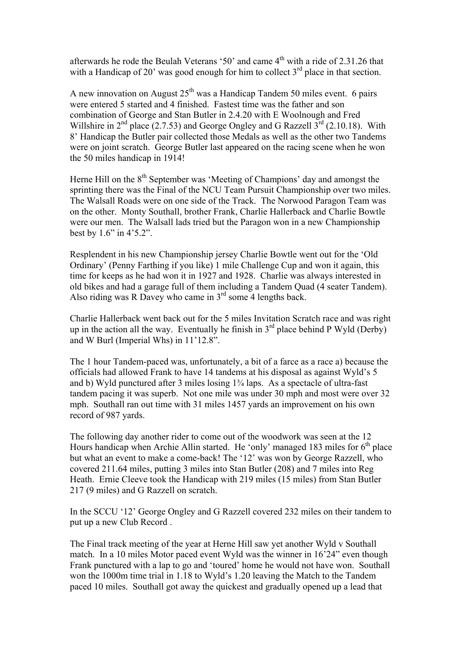afterwards he rode the Beulah Veterans '50' and came 4<sup>th</sup> with a ride of 2.31.26 that with a Handicap of 20' was good enough for him to collect  $3<sup>rd</sup>$  place in that section.

A new innovation on August  $25<sup>th</sup>$  was a Handicap Tandem 50 miles event. 6 pairs were entered 5 started and 4 finished. Fastest time was the father and son combination of George and Stan Butler in 2.4.20 with E Woolnough and Fred Willshire in  $2<sup>nd</sup>$  place (2.7.53) and George Ongley and G Razzell  $3<sup>rd</sup>$  (2.10.18). With 8' Handicap the Butler pair collected those Medals as well as the other two Tandems were on joint scratch. George Butler last appeared on the racing scene when he won the 50 miles handicap in 1914!

Herne Hill on the 8<sup>th</sup> September was 'Meeting of Champions' day and amongst the sprinting there was the Final of the NCU Team Pursuit Championship over two miles. The Walsall Roads were on one side of the Track. The Norwood Paragon Team was on the other. Monty Southall, brother Frank, Charlie Hallerback and Charlie Bowtle were our men. The Walsall lads tried but the Paragon won in a new Championship best by 1.6" in 4'5.2".

Resplendent in his new Championship jersey Charlie Bowtle went out for the 'Old Ordinary' (Penny Farthing if you like) 1 mile Challenge Cup and won it again, this time for keeps as he had won it in 1927 and 1928. Charlie was always interested in old bikes and had a garage full of them including a Tandem Quad (4 seater Tandem). Also riding was R Davey who came in  $3<sup>rd</sup>$  some 4 lengths back.

Charlie Hallerback went back out for the 5 miles Invitation Scratch race and was right up in the action all the way. Eventually he finish in  $3<sup>rd</sup>$  place behind P Wyld (Derby) and W Burl (Imperial Whs) in 11'12.8".

The 1 hour Tandem-paced was, unfortunately, a bit of a farce as a race a) because the officials had allowed Frank to have 14 tandems at his disposal as against Wyld's 5 and b) Wyld punctured after 3 miles losing 1¾ laps. As a spectacle of ultra-fast tandem pacing it was superb. Not one mile was under 30 mph and most were over 32 mph. Southall ran out time with 31 miles 1457 yards an improvement on his own record of 987 yards.

The following day another rider to come out of the woodwork was seen at the 12 Hours handicap when Archie Allin started. He 'only' managed 183 miles for  $6<sup>th</sup>$  place but what an event to make a come-back! The '12' was won by George Razzell, who covered 211.64 miles, putting 3 miles into Stan Butler (208) and 7 miles into Reg Heath. Ernie Cleeve took the Handicap with 219 miles (15 miles) from Stan Butler 217 (9 miles) and G Razzell on scratch.

In the SCCU '12' George Ongley and G Razzell covered 232 miles on their tandem to put up a new Club Record .

The Final track meeting of the year at Herne Hill saw yet another Wyld v Southall match. In a 10 miles Motor paced event Wyld was the winner in 16'24" even though Frank punctured with a lap to go and 'toured' home he would not have won. Southall won the 1000m time trial in 1.18 to Wyld's 1.20 leaving the Match to the Tandem paced 10 miles. Southall got away the quickest and gradually opened up a lead that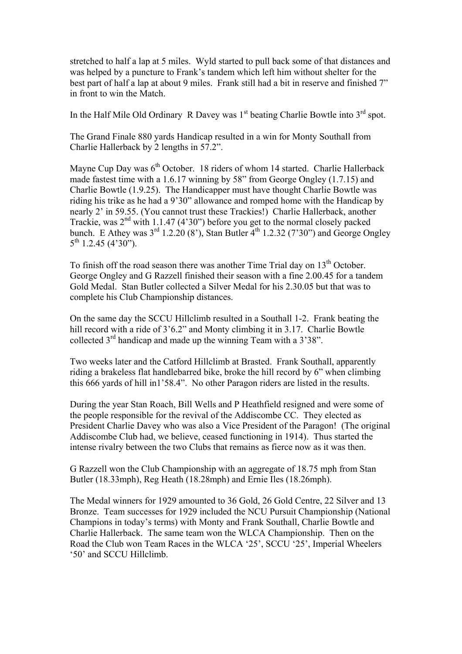stretched to half a lap at 5 miles. Wyld started to pull back some of that distances and was helped by a puncture to Frank's tandem which left him without shelter for the best part of half a lap at about 9 miles. Frank still had a bit in reserve and finished 7" in front to win the Match.

In the Half Mile Old Ordinary R Davey was  $1<sup>st</sup>$  beating Charlie Bowtle into  $3<sup>rd</sup>$  spot.

The Grand Finale 880 yards Handicap resulted in a win for Monty Southall from Charlie Hallerback by 2 lengths in 57.2".

Mayne Cup Day was  $6<sup>th</sup>$  October. 18 riders of whom 14 started. Charlie Hallerback made fastest time with a 1.6.17 winning by 58" from George Ongley (1.7.15) and Charlie Bowtle (1.9.25). The Handicapper must have thought Charlie Bowtle was riding his trike as he had a 9'30" allowance and romped home with the Handicap by nearly 2' in 59.55. (You cannot trust these Trackies!) Charlie Hallerback, another Trackie, was  $2<sup>nd</sup>$  with 1.1.47 (4'30") before you get to the normal closely packed bunch. E Athey was  $3^{rd}$  1.2.20 (8'), Stan Butler  $4^{th}$  1.2.32 (7'30") and George Ongley  $5^{\text{th}}$  1.2.45 (4'30").

To finish off the road season there was another Time Trial day on  $13<sup>th</sup>$  October. George Ongley and G Razzell finished their season with a fine 2.00.45 for a tandem Gold Medal. Stan Butler collected a Silver Medal for his 2.30.05 but that was to complete his Club Championship distances.

On the same day the SCCU Hillclimb resulted in a Southall 1-2. Frank beating the hill record with a ride of 3'6.2" and Monty climbing it in 3.17. Charlie Bowtle collected 3rd handicap and made up the winning Team with a 3'38".

Two weeks later and the Catford Hillclimb at Brasted. Frank Southall, apparently riding a brakeless flat handlebarred bike, broke the hill record by 6" when climbing this 666 yards of hill in1'58.4". No other Paragon riders are listed in the results.

During the year Stan Roach, Bill Wells and P Heathfield resigned and were some of the people responsible for the revival of the Addiscombe CC. They elected as President Charlie Davey who was also a Vice President of the Paragon! (The original Addiscombe Club had, we believe, ceased functioning in 1914). Thus started the intense rivalry between the two Clubs that remains as fierce now as it was then.

G Razzell won the Club Championship with an aggregate of 18.75 mph from Stan Butler (18.33mph), Reg Heath (18.28mph) and Ernie Iles (18.26mph).

The Medal winners for 1929 amounted to 36 Gold, 26 Gold Centre, 22 Silver and 13 Bronze. Team successes for 1929 included the NCU Pursuit Championship (National Champions in today's terms) with Monty and Frank Southall, Charlie Bowtle and Charlie Hallerback. The same team won the WLCA Championship. Then on the Road the Club won Team Races in the WLCA '25', SCCU '25', Imperial Wheelers '50' and SCCU Hillclimb.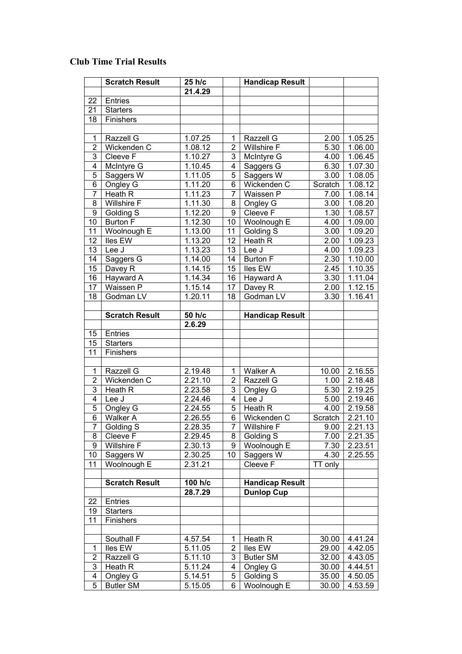## **Club Time Trial Results**

|                 | <b>Scratch Result</b> | 25 h/c           |                 | <b>Handicap Result</b> |         |         |
|-----------------|-----------------------|------------------|-----------------|------------------------|---------|---------|
|                 |                       | 21.4.29          |                 |                        |         |         |
| 22              | <b>Entries</b>        |                  |                 |                        |         |         |
| 21              | <b>Starters</b>       |                  |                 |                        |         |         |
| 18              | Finishers             |                  |                 |                        |         |         |
|                 |                       |                  |                 |                        |         |         |
| 1               | Razzell G             | 1.07.25          | 1               | Razzell G              | 2.00    | 1.05.25 |
| $\overline{2}$  | Wickenden C           | 1.08.12          | $\overline{2}$  | <b>Willshire F</b>     | 5.30    | 1.06.00 |
| 3               | Cleeve F              | 1.10.27          | 3               | McIntyre G             | 4.00    | 1.06.45 |
| 4               | McIntyre G            | 1.10.45          | 4               | Saggers G              | 6.30    | 1.07.30 |
| 5               | Saggers W             | 1.11.05          | 5               | Saggers W              | 3.00    | 1.08.05 |
| 6               | Ongley G              | 1.11.20          | 6               | Wickenden C            | Scratch | 1.08.12 |
| 7               | Heath $\overline{R}$  | 1.11.23          | 7               | Waissen P              | 7.00    | 1.08.14 |
| 8               | Willshire F           | 1.11.30          | 8               | Ongley G               | 3.00    | 1.08.20 |
| 9               | Golding S             | 1.12.20          | 9               | Cleeve F               | 1.30    | 1.08.57 |
| 10              | <b>Burton F</b>       | 1.12.30          | 10              | Woolnough E            | 4.00    | 1.09.00 |
| 11              | Woolnough E           | 1.13.00          | 11              | <b>Golding S</b>       | 3.00    | 1.09.20 |
| 12              | lles EW               | 1.13.20          | 12              | Heath R                | 2.00    | 1.09.23 |
| 13              | Lee J                 | 1.13.23          | 13              | Lee J                  | 4.00    | 1.09.23 |
| 14              | Saggers G             | 1.14.00          | 14              | <b>Burton F</b>        | 2.30    | 1.10.00 |
| 15              | Davey R               | 1.14.15          | $\overline{15}$ | lles EW                | 2.45    | 1.10.35 |
| 16              | Hayward A             | 1.14.34          | 16              | Hayward A              | 3.30    | 1.11.04 |
| $\overline{17}$ | Waissen P             | 1.15.14          | 17              | Davey R                | 2.00    | 1.12.15 |
| 18              | Godman LV             | 1.20.11          | 18              | Godman LV              | 3.30    | 1.16.41 |
|                 |                       |                  |                 |                        |         |         |
|                 | <b>Scratch Result</b> | 50 h/c<br>2.6.29 |                 | <b>Handicap Result</b> |         |         |
| 15              | <b>Entries</b>        |                  |                 |                        |         |         |
| 15              | <b>Starters</b>       |                  |                 |                        |         |         |
| 11              | Finishers             |                  |                 |                        |         |         |
|                 |                       |                  |                 |                        |         |         |
| 1               | Razzell G             | 2.19.48          | 1               | Walker A               | 10.00   | 2.16.55 |
| $\overline{2}$  | Wickenden C           | 2.21.10          | 2               | Razzell G              | 1.00    | 2.18.48 |
| 3               | Heath R               | 2.23.58          | 3               | Ongley G               | 5.30    | 2.19.25 |
| 4               | Lee J                 | 2.24.46          | 4               | Lee J                  | 5.00    | 2.19.46 |
| 5               | Ongley G              | 2.24.55          | 5               | Heath R                | 4.00    | 2.19.58 |
| $\overline{6}$  | <b>Walker A</b>       | 2.26.55          | $\overline{6}$  | Wickenden C            | Scratch | 2.21.10 |
| 7               | Golding S             | 2.28.35          | 7               | <b>Willshire F</b>     | 9.00    | 2.21.13 |
| 8               | Cleeve F              | 2.29.45          | 8               | Golding S              | 7.00    | 2.21.35 |
| 9               | <b>Willshire F</b>    | 2.30.13          | 9               | Woolnough E            | 7.30    | 2.23.51 |
| 10              | Saggers W             | 2.30.25          | 10              | Saggers W              | 4.30    | 2.25.55 |
| 11              | Woolnough E           | 2.31.21          |                 | Cleeve F               | TT only |         |
|                 |                       |                  |                 |                        |         |         |
|                 | <b>Scratch Result</b> | 100 h/c          |                 | <b>Handicap Result</b> |         |         |
|                 |                       | 28.7.29          |                 | <b>Dunlop Cup</b>      |         |         |
| 22              | <b>Entries</b>        |                  |                 |                        |         |         |
| 19              | <b>Starters</b>       |                  |                 |                        |         |         |
| 11              | Finishers             |                  |                 |                        |         |         |
|                 |                       |                  |                 |                        |         |         |
|                 | Southall F            | 4.57.54          | 1               | Heath R                | 30.00   | 4.41.24 |
| 1               | lles EW               | 5.11.05          | $\overline{2}$  | Iles EW                | 29.00   | 4.42.05 |
| $\overline{2}$  | Razzell G             | 5.11.10          | 3               | <b>Butler SM</b>       | 32.00   | 4.43.05 |
| 3               | Heath R               | 5.11.24          | 4               | Ongley G               | 30.00   | 4.44.51 |
| 4               | Ongley G              | 5.14.51          | 5               | Golding S              | 35.00   | 4.50.05 |
| $\overline{5}$  | <b>Butler SM</b>      | 5.15.05          | 6               | Woolnough E            | 30.00   | 4.53.59 |